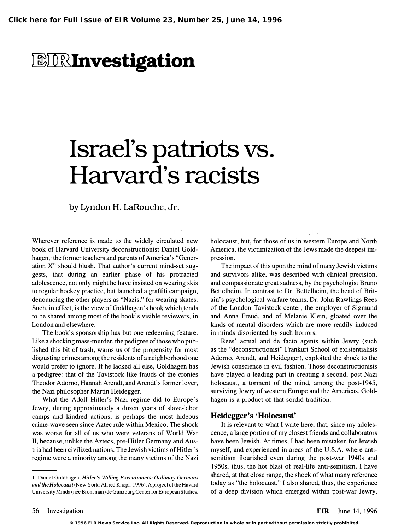## *BIRInvestigation*

## Israel's patriots vs. Harvard's racists

by Lyndon H. LaRouche, Jr.

Wherever reference is made to the widely circulated new book of Harvard University deconstructionist Daniel Goldhagen,<sup>1</sup> the former teachers and parents of America's "Generation X" should blush. That author's current mind-set suggests, that during an earlier phase of his protracted adolescence, not only might he have insisted on wearing skis to regular hockey practice, but launched a graffiti campaign, denouncing the other players as "Nazis," for wearing skates. Such, in effect, is the view of Goldhagen's book which tends to be shared among most of the book's visible reviewers, in London and elsewhere.

The book's sponsorship has but one redeeming feature. Like a shocking mass-murder, the pedigree of those who published this bit of trash, warns us of the propensity for most disgusting crimes among the residents of a neighborhood one would prefer to ignore. If he lacked all else, Goldhagen has a pedigree: that of the Tavistock-like frauds of the cronies Theodor Adorno, Hannah Arendt, and Arendt's former lover, the Nazi philosopher Martin Heidegger.

What the Adolf Hitler's Nazi regime did to Europe's Jewry, during approximately a dozen years of slave-labor camps and kindred actions, is perhaps the most hideous crime-wave seen since Aztec rule within Mexico. The shock was worse for all of us who were veterans of World War II, because, unlike the Aztecs, pre-Hitler Germany and Austria had been civilized nations. The Jewish victims of Hitler's regime were a minority among the many victims of the Nazi

holocaust, but, for those of us in western Europe and North America, the victimization of the Jews made the deepest impression.

The impact of this upon the mind of many Jewish victims and survivors alike, was described with clinical precision, and compassionate great sadness, by the psychologist Bruno Bettelheim. In contrast to Dr. Bettelheim, the head of Britain's psychological-warfare teams, Dr. John Rawlings Rees of the London Tavistock center, the employer of Sigmund and Anna Freud, and of Melanie Klein, gloated over the kinds of mental disorders which are more readily induced in minds disoriented by such horrors.

Rees' actual and de facto agents within Jewry (such as the "deconstructionist" Frankurt School of existentialists Adorno, Arendt, and Heidegger), exploited the shock to the Jewish conscience in evil fashion. Those deconstructionists have played a leading part in creating a second, post-Nazi holocaust, a torment of the mind, among the post-1945, surviving Jewry of western Europe and the Americas. Goldhagen is a product of that sordid tradition.

## Heidegger's 'Holocaust'

It is relevant to what I write here, that, since my adolescence, a large portion of my closest friends and collaborators have been Jewish. At times, I had been mistaken for Jewish myself, and experienced in areas of the U.S.A. where antisemitism flourished even during the post-war 1940s and 1950s, thus, the hot blast of real-life anti-semitism. I have shared, at that close range, the shock of what many reference today as "the holocaust." I also shared, thus, the experience of a deep division which emerged within post-war Jewry,

<sup>1.</sup> Daniel Goldhagen, Hitler's Willing Executioners: Ordinary Germans and the Holocaust (New York: Alfred Knopf, 1996). A project of the Havard University Minda (née Bronfman) de Gunzburg Center for European Studies.

**<sup>© 1996</sup> EIR News Service Inc. All Rights Reserved. Reproduction in whole or in part without permission strictly prohibited.**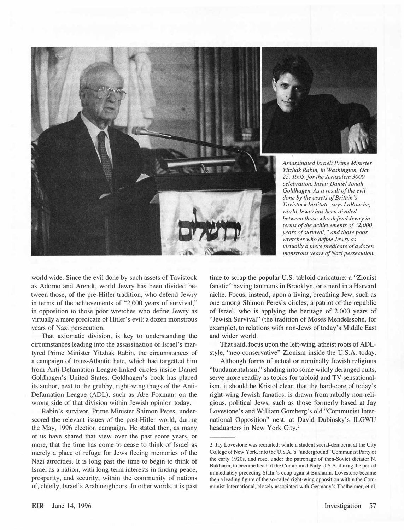

world wide. Since the evil done by such assets of Tavistock as Adorno and Arendt, world Jewry has been divided between those, of the pre-Hitler tradition, who defend Jewry in terms of the achievements of "2,000 years of survival," in opposition to those poor wretches who define Jewry as virtually a mere predicate of Hitler's evil: a dozen monstrous years of Nazi persecution.

That axiomatic division, is key to understanding the circumstances leading into the assassination of Israel's martyred Prime Minister Yitzhak Rabin, the circumstances of a campaign of trans-Atlantic hate, which had targetted him from Anti-Defamation League-linked circles inside Daniel Goldhagen's United States. Goldhagen's book has placed its author, next to the grubby, right-wing thugs of the Anti-Defamation League (ADL), such as Abe Foxman: on the wrong side of that division within Jewish opinion today.

Rabin's survivor, Prime Minister Shimon Peres, underscored the relevant issues of the post-Hitler world, during the May, 1996 election campaign. He stated then, as many of us have shared that view over the past score years, or more, that the time has come to cease to think of Israel as merely a place of refuge for Jews fleeing memories of the Nazi atrocities. It is long past the time to begin to think of Israel as a nation, with long-term interests in finding peace, prosperity, and security, within the community of nations of, chiefly, Israel's Arab neighbors. In other words, it is past

time to scrap the popular U.S. tabloid caricature: a "Zionist fanatic" having tantrums in Brooklyn, or a nerd in a Harvard niche. Focus, instead, upon a living, breathing Jew, such as one among Shimon Peres's circles, a patriot of the republic of Israel, who is applying the heritage of 2,000 years of "Jewish Survival" (the tradition of Moses Mendelssohn, for example), to relations with non-Jews of today's Middle East and wider world.

That said, focus upon the left-wing, atheist roots of ADLstyle, "neo-conservative" Zionism inside the U.S.A. today.

Although forms of actual or nominally Jewish religious "fundamentalism," shading into some wildly deranged cults, serve more readily as topics for tabloid and TV sensationalism, it should be Kristol clear, that the hard-core of today's right-wing Jewish fanatics, is drawn from rabidly non-religious, political Jews, such as those formerly based at Jay Lovestone's and William Gomberg's old "Communist International Opposition" nest, at David Dubinsky's ILGWU headuarters in New York City.<sup>2</sup>

<sup>2.</sup> Jay Lovestone was recruited, while a student social-democrat at the City College of New York, into the U.S.A.'s "underground" Communist Party of the early 1920s, and rose, under the patronage of then-Soviet dictator N. Bukharin, to become head of the Communist Party U.S.A. during the period immediately preceding Stalin's coup against Bukharin. Lovestone became then a leading figure of the so-called right-wing opposition within the Communist International, closely associated with Germany's Thalheimer, et al.